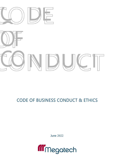

# CODE OF BUSINESS CONDUCT & ETHICS

**June 2022** 

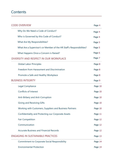# **Contents**

| <b>CODE OVERVIEW</b>                                                  | Page 4  |
|-----------------------------------------------------------------------|---------|
| Why Do We Need a Code of Conduct?                                     | Page 4  |
| Who is Governed by this Code of Conduct?                              | Page 4  |
| What Are My Responsibilities?                                         | Page 5  |
| What Are a Supervisor's or Member of the HR Staff's Responsibilities? | Page 5  |
| What Happens Once a Concern is Raised?                                | Page 6  |
| DIVERSITY AND RESPECT IN OUR WORKPLACE                                | Page 7  |
| <b>Global Labor Principles</b>                                        | Page 8  |
| Freedom from Harassment and Discrimination                            | Page 8  |
| Promote a Safe and Healthy Workplace                                  | Page 8  |
| <b>BUSINESS INTEGRITY</b>                                             | Page 9  |
| <b>Legal Compliance</b>                                               | Page 10 |
| <b>Conflicts of Interest</b>                                          | Page 10 |
| Anti-Bribery and Anti-Corruption                                      | Page 10 |
| <b>Giving and Receiving Gifts</b>                                     | Page 10 |
| Working with Customers, Suppliers and Business Partners               | Page 10 |
| <b>Confidentiality and Protecting our Corporate Assets</b>            | Page 11 |
| <b>Fair Competition</b>                                               | Page 12 |
| Communication                                                         | Page 12 |
| <b>Accurate Business and Financial Records</b>                        | Page 12 |
| <b>ENGAGING IN SUSTAINABLE PRACTICES</b>                              | Page 13 |
| <b>Commitment to Corporate Social Responsibility</b>                  | Page 14 |
| <b>Environmental Protection</b>                                       | Page 14 |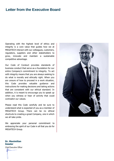# **Letter from the Executive Board**

Operating with the highest level of ethics and integrity is a core value that guides how we at MEGATECH interact with our colleagues, customers, regulators, suppliers and other stakeholders to grow, innovate and maintain a sustainable competitive advantage.

Our Code of Conduct provides standards of business conduct that serve as a foundation for our entire Company's commitment to integrity. To act with integrity means that you are always seeking to do what is morally and ethically right. When you are unsure of how to proceed in a work situation, this Code provides valuable guidance and instructions for making decisions and taking actions that are consistent with our ethical standard. In addition, it is meant to encourage you to speak up when you witness or hear of activity that could contradict our values.

Please read this Code carefully and be sure to understand what is expected of you as a member of MEGATECH Group. There can be no ethical shortcuts to creating a great Company, one in which we all take pride.

We appreciate your personal commitment to embracing the spirit of our Code in all that you do for MEGATECH Group.



**Dr. Maximilian Gessler**

*Chief Executive Officer*Mu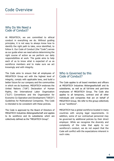# Code Overview

### Why Do We Need a Code of Conduct?

At MEGATECH, we are committed to ethical conduct in everything we do. Without guiding principles, it is not easy to always know how to identify the right path to take, once identified, to follow it. Our Code of Conduct (the "Code") serves as our guide when we need advice determining the right course of action as we perform our daily responsibilities at work. The guide aims to help each of us to know what is expected of us as workforce members and to make sure we act knowingly and with integrity.

The Code aims to ensure that all employees of MEGATECH Group act with the highest level of integrity, comply with applicable laws, and build a better future for our company and the communities in which we do business. MEGATECH endorses the United Nations ("UN") Declaration of Human Rights, the International Labor Organization ("ILO") Conventions and the Organization for Economic Co-Operation and Development ("OECD") Guidelines for Multinational Companies. This Code is intended to be consistent with these policies.

The Code is approved by the Board of Directors of MEGATECH Industries Aktiengesellschaft and applies to its workforce and its subsidiaries which are collectively defined as the "MEGATECH Group".

### Who is Governed by this Code of Conduct?

The Code applies to all board members and officers at MEGATECH Industries Aktiengesellschaft and its subsidiaries, as well as all full-time and part-time employees of MEGATECH Group. The Code also applies to all temporary, contract and all other individuals and companies that act on behalf of MEGATECH Group. We refer to this group collectively as our "workforce".

MEGATECH has a global workforce located in many countries with varying legal requirements. In addition, some of our contractual personnel may be governed by additional policies by their direct employer. While we recognize the diversity and complexity of the rules that apply to our workforce's conduct, we do not expect that the Code will conflict with the expectations inherent in such rules.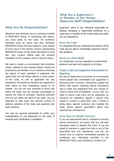## What Are My Responsibilities?

Whenever and wherever you are working on behalf of MEGATECH Group, or interacting with others, you must abide by the Code. All workforce members must be aware that they represent MEGATECH Group with their behavior, even outside of work hours if the activity involves representing MEGATECH Group, to the extent permitted by local law. Your conduct affects both the external reputation of the company and its internal culture.

We seek to create an environment that promotes values, adheres to and rewards ethical conduct as practiced by all members of our workforce ensuring the dignity of each individual is respected. We expect that you will always adhere to every aspect of the Code, as well as applicable law and regulations. All workforce members are expected to treat others as they themselves expect to be treated. You are not only expected to know and follow the Code, you are strongly encouraged to uphold the Code by promptly reporting activities that are not within the spirit of the Code. You are expected to take quick and decisive actions to address violations of the Code, ask questions and seek guidance.

You may be required periodically to certify your understanding of, and adherence to, the Code. If required such certification is mandatory.

### What Are a Supervisor's or Member of the Human Resources Staff's Responsibilities?

Supervisor refers to any individual responsible for leading, managing or supervising workforce. As a Supervisor or member of the Human Resources staff, you are expected to:

#### Know the Code

It is important that you understand the essence of the Code and are able to comfortably respond to day-today questions.

#### Serve as a Role Model

As a Supervisor, you are expected to model ethical behavior and lead with integrity at all times.

### Create a Safe and Supportive Environment for Reporting

We ask all Supervisors to provide an environment where people feel comfortable and supported in discussing their concerns. Oftentimes, people are fearful that openly reporting ethical misconduct may in some way jeopardize their own careers or result in some form of retaliation. In your role, you need to ensure that there will be absolutely no tolerance for retaliation against a person who reports a concern in good faith. Also, if action is being taken against someone who violated the Code, advise against speculation about who reported the infringement.

#### Know How to Handle Concerns

If you are approached about a situation involving ethical misconduct, we expect that you will take immediate steps to address the issue. If you are asked to interpret or apply the Code or any of the associated laws and regulations, and you are unsure how to respond immediately escalate by contacting any individuals provided in the MEGATECH Ethics and Compliance Contact List.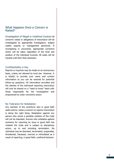### What Happens Once a Concern is Raised?

Investigation of Illegal or Unethical Conduct All concerns raised or allegations of misconduct will be investigated by appropriate investigators, subject matter experts or management personnel. If wrongdoing is uncovered, appropriate corrective action will be taken regardless of the level and position of the individual involved. All cases will be tracked until their final resolution.

#### Confidentiality is Key

Reports or inquiries may be made on an anonymous basis, unless not allowed by local law. However, it is helpful to provide your name and contact information so you can be reached for potential follow -up questions. All information provided and the identity of the individual reporting misconduct will only be shared on a "need to know" basis with those responsible for the investigation and empowered to order corrective action.

#### No Tolerance for Retaliation

Any member of the workforce who in good faith seeks advice, raises a concern or reports misconduct is doing the right thing. Retaliation against any person who voices a possible violation of the Code will not be tolerated. Anyone who retaliates against someone for reporting an issue in good faith has violated the Code and is subject to disciplinary action, up to and including termination. No individual may be demoted, terminated, suspended, threatened, harassed, coerced or intimidated as a result of reporting, in good faith, unethical behavior.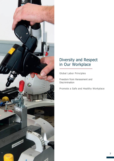

# Diversity and Respect in Our Workplace

Global Labor Principles

Freedom from Harassment and **Discrimination** 

Promote a Safe and Healthy Workplace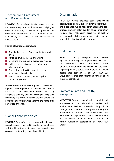### Freedom from Harassment and Discrimination

MEGATECH Group values integrity, respect and does not tolerate any form of harassment, bullying or other discriminatory conduct, such as jokes, slurs or other offensive remarks. Implicit or explicit threats, intimidation, or violence at the workplace are unacceptable.

#### **Forms of harassment include:**

- Sexual advances and / or requests for sexual favors
- **Verbal or physical threats of any kind**
- Displaying or d istributing derogatory material
- Making ethnic, religious, age-related, sexual jokes or insults
- **Demonstrating hostility towards others based** on personal characteristics
- **Inappropriate comments, jokes, physical** contact or gestures

If you observe or experience any form of harassment, report it to your Supervisor or a member of the Human Resources staff. MEGATECH Group takes any allegations seriously and will investigate complaints thoroughly and will try to resolve them as quickly and positively as possible whilst ensuring the rights of all parties are protected.

# Global Labor Principles

MEGATECH's workforce is our most valuable asset. As such we are committed to treating our employees with the highest level of respect and integrity. We consider the following principles as binding:

# Discrimination

MEGATECH Group provides equal employment opportunities to individuals of diverse backgrounds and experience. We do not discriminate on the basis of race, ethnicity, color, gender, sexual orientation, religion, age, nationality, disability, political or philosophical beliefs, trade union activities or any other status that is protected by law.

# Child Labor

MEGATECH Group complies with national legislations and regulations governing child labor. In accordance with International Labor Organization standards, we comply with provisions regarding health, safety and morality of young people aged between 15. and 18. MEGATECH Group ensures that its suppliers and partners adopt the same provisions.

### Promote a Safe and Healthy **Workplace**

MEGATECH Group is committed to providing all employees with a safe and productive work environment. Accident prevention, in particular through the provision of adequate training and information is of outmost priority. Members of our workforce are expected to share this commitment and to ensure compliance with all health and safety guidelines established by MEGATECH Group.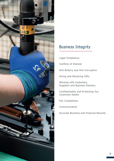

# Business Integrity

Legal Compliance

Conflicts of Interest

Anti-Bribery and Anti-Corruption

Giving and Receiving Gifts

Working with Customers, Suppliers and Business Partners

Confidentiality and Protecting Our Corporate Assets

Fair Competition

**Communication** 

Accurate Business and Financial Records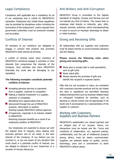# Legal Compliance

Compliance with applicable law is mandatory for all of our employees and is critical for MEGATECH's reputation. Employees who violate these regulations may be punished by disciplinary action including the termination of the employment. Lawful requests from government authorities must be answered honestly and accurately.

## Conflicts of Interest

All members of our workforce are obligated to engage in conduct that protects and promotes MEGATECH's best interest at all times.

A conflict of interest exists when members of MEGATECH's workforce engage in activities or have interests that compromise the interests of the Company. Such activities may harm MEGATECH financially but could also be damaging to our reputation.

#### **The following examples constitute potential conflicts of interest:**

- **Accepting personal services or payments** from a supplier, customer or competitor
- $\blacksquare$  Making a material investment in a supplier, customer or competitor Benefiting from opportunities that are
- discovered through the use of MEGATECH property, information or position Working outside MEGATECH without approval
- of Supervisor, especially in an industry related to MEGATECH Receiving improper benefits as a result of an employee's position at MEGATECH

Our employees are expected to always act with the highest level of integrity when dealing with business partners and to act solely in the best interest of the Company. If you believe you are involved in, or you are aware of any situation that could result in a potential conflict of interest, you are obliged to disclose it to your Supervisor or a member of Human Resources.

## Anti-Bribery and Anti-Corruption

MEGATECH Group is committed to the highest standards of integrity, honesty and fairness and will not tolerate any kind of bribery. This means that no employee shall directly or indirectly, give, offer, request, promise, authorize, solicit oracceptanything of value to secure an improper advantage to obtain or retain business.

## Giving and Receiving Gifts

All relationships with our suppliers and customers must be based entirely on sound business decisions and fair dealing.

#### **Please ensure the following rules when giving and receiving gifts:**

- Never give or accept cash or cash equivalents, such as gift cards
- Never solicit gifts
- **Always disclose the purchase of gifts and** identify the recipient in expense reports

Gifts that are not excessive in value, are consistent with customary business practices and do not violate any laws or regulations are permitted. Business related entertainment such as business-related meals or infrequent invitations for activities, such as sporting or cultural events may be appropriate if not lavish and if accompanied by a representative of the supplier or customer.

### Working with Customers, Suppliers and Business Partners

MEGATECH's stakeholders are valued partners and an integral part of our success. Hence, our interactions must be honest and fair. Terms and conditions of collaboration, incl. payment policies, confidentiality, and the use of intellectual property among others, must be clearly communicated. Suppliers are selected based on quality, service, technology, price and a commitment to share MEGATECH's ethical values.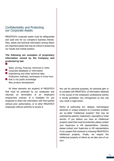### Confidentiality and Protecting our Corporate Assets

MEGATECH's corporate assets must be safeguarded and used only for our company's business interest. Files, assets and technical information among others are important assets that may be critical in preserving our results and market position.

#### **The following are examples of proprietary information owned by the Company and protected by law:**

Sales, pricing, financial, technical or other corporate databases or information **Engineering and other technical data** Production methods, techniques or know-how  $\blacksquare$  that is not public knowledge New product development

All these elements are property of MEGATECH that must be protected by our employees and returned on termination of an employee's employment contract. It is forbidden for any employee to share this information with third parties without prior authorization, or to other MEGATECH employees without authority to access it.

Any use for personal purposes, for personal gain or to compete with MEGATECH, of information obtained in the course of the employee's professional activity is strictly prohibited. Any infringement on this rule may result in legal action.

Works of authorship incl. designs, technological advances or unique solutions to a business problem are so-called "intellectual property" that may be protected by patents, trademarks, copyrights or trade secrets. If you believe you have an intellectual property asset that must be protected, please contact your Supervisor or HR representative. Likewise, please contact your Supervisor or HR representative if you suspect that someone is misusing MEGATECH's intellectual property. Finally, we respect the intellectual property of others as we take care of our own.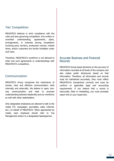## Fair Competition

MEGATECH believes in strict compliance with the rules and laws governing competition. Any written or unwritten understanding, agreements, plans, arrangements, or schemes among competitors involving price, territory, production volume, market share, and/or customers are strictly forbidden under such laws.

Therefore, MEGATECH's workforce is not allowed to enter into such agreements or understandings with MEGATECH's competitors.

## Communication

MEGATECH Group recognizes the importance of honest, clear and effective communication, both internally and externally. We believe in open, twoway communication and seek to promote understanding between leadership and our workforce as well with other stakeholders.

Only designated employees are allowed to talk to the media (TV, newspaper, journalists, radio, internet, etc.) on behalf of MEGATECH. When approached by media, each employee should refer to Top Management and/or to a designated Spokesperson.

### Accurate Business and Financial Records

MEGATECH Group bases decisions on the accuracy of information recorded at all levels of the company and also makes public disclosures based on that information. Therefore, all information and records must be maintained accurately, they must reflect MEGATECH's transactions correctly and must be conform to applicable legal and accounting requirements. If you believe that a record is inaccurate, false or misleading, you must promptly report this to your Supervisor.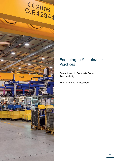

# Engaging in Sustainable Practices

Commitment to Corporate Social Responsibility

Environmental Protection